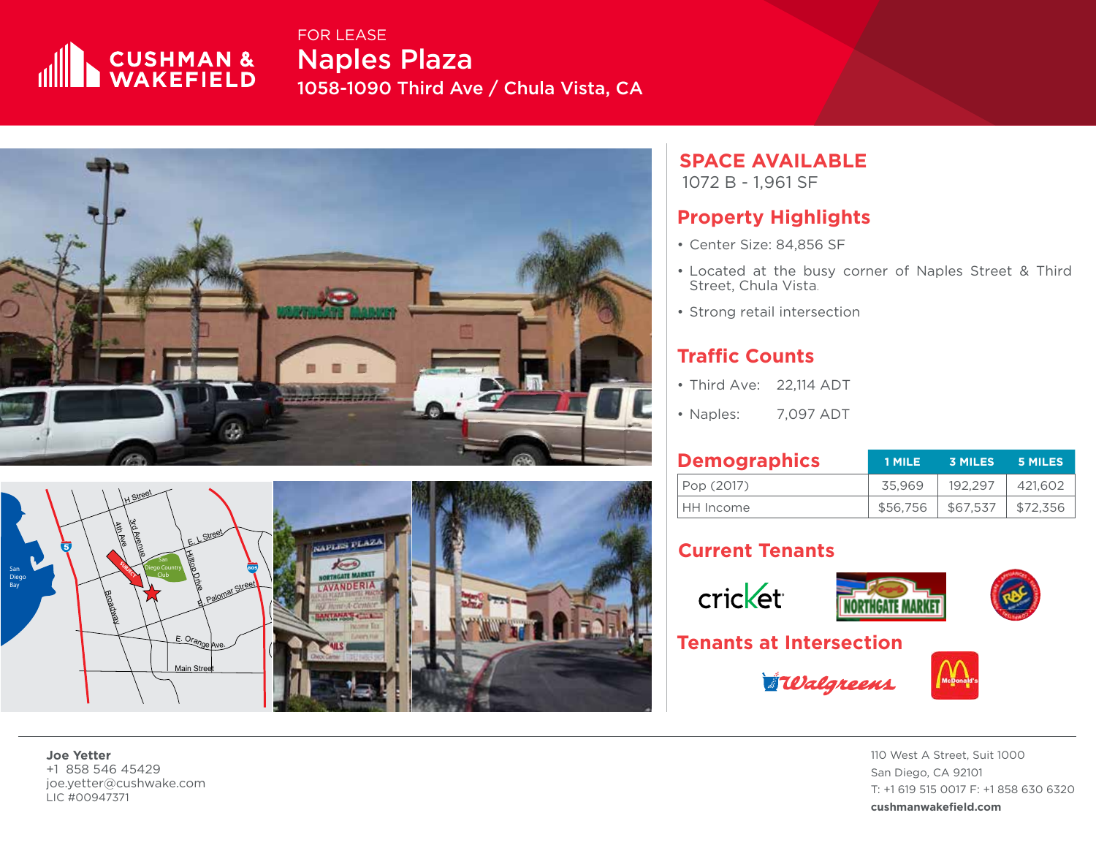

Naples Plaza 1058-1090 Third Ave / Chula Vista, CA FOR LEASE





# **SPACE AVAILABLE**

1072 B - 1,961 SF

#### **Property Highlights**

- Center Size: 84,856 SF
- Located at the busy corner of Naples Street & Third Street, Chula Vista .
- Strong retail intersection

## **Traffic Counts**

- 
- 

| • Third Ave: 22,114 ADT        |           |          |                |                |  |  |
|--------------------------------|-----------|----------|----------------|----------------|--|--|
| • Naples:                      | 7,097 ADT |          |                |                |  |  |
| <b>Demographics</b>            |           | 1 MILE   | <b>3 MILES</b> | <b>5 MILES</b> |  |  |
| Pop (2017)                     |           | 35,969   | 192,297        | 421,602        |  |  |
| HH Income                      |           | \$56,756 | \$67,537       | \$72,356       |  |  |
| <b>Current Tenants</b>         |           |          |                |                |  |  |
| cricket                        |           |          |                |                |  |  |
| <b>Tenants at Intersection</b> |           |          |                |                |  |  |

## **Current Tenants**





**Walgreens** 



110 West A Street, Suit 1000 San Diego, CA 92101 T: +1 619 515 0017 F: +1 858 630 6320 **cushmanwakefield.com**

**Joe Yetter** +1 858 546 45429 joe.yetter@cushwake.com LIC #00947371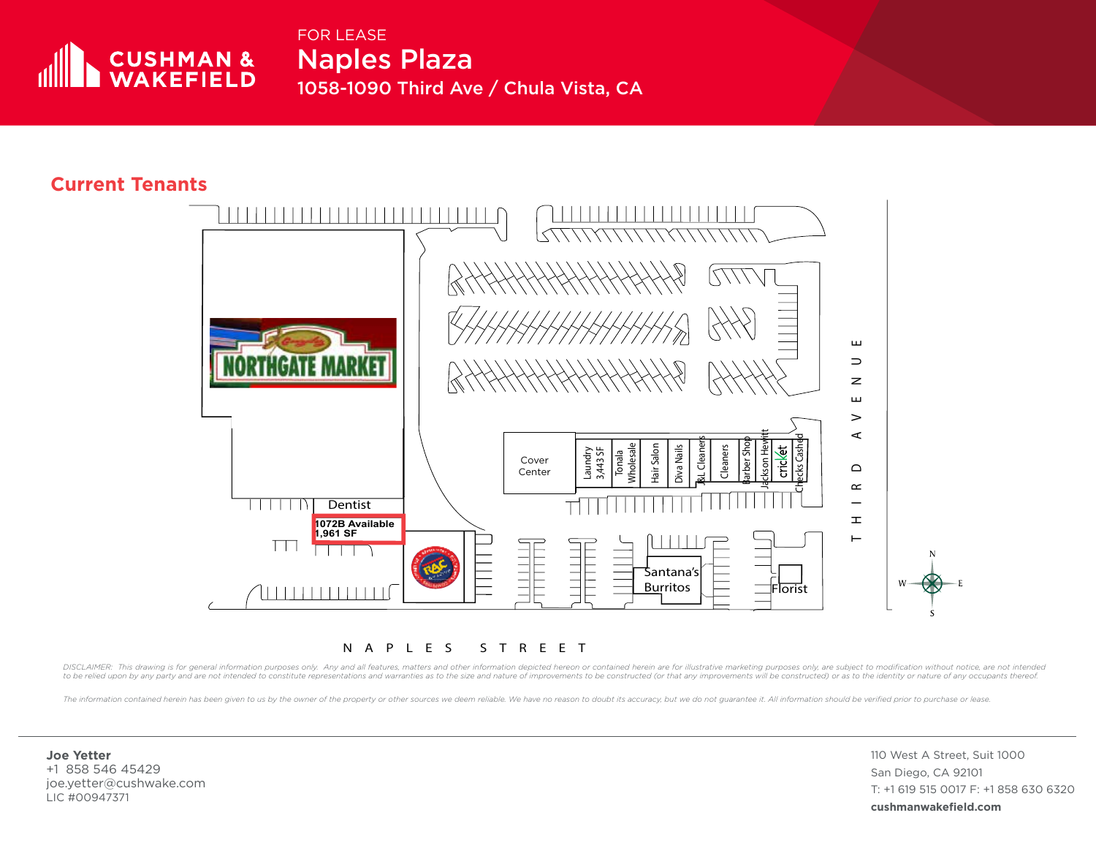

Naples Plaza 1058-1090 Third Ave / Chula Vista, CA FOR LEASE

#### **Current Tenants**



NAPLES STREET

DISCLAIMER: This drawing is for general information purposes only. Any and all features, matters and other information depicted hereon or contained herein are for illustrative marketing purposes only, are subject to modifi to be relied upon by any party and are not intended to constitute representations and warranties as to the size and nature of improvements to be constructed (or that any improvements will be constructed) or as to the ident

The information contained herein has been given to us by the owner of the property or other sources we deem reliable. We have no reason to doubt its accuracy, but we do not guarantee it. All information should be verified

**Joe Yetter** +1 858 546 45429 joe.yetter@cushwake.com LIC #00947371

110 West A Street, Suit 1000 San Diego, CA 92101 T: +1 619 515 0017 F: +1 858 630 6320 **cushmanwakefield.com**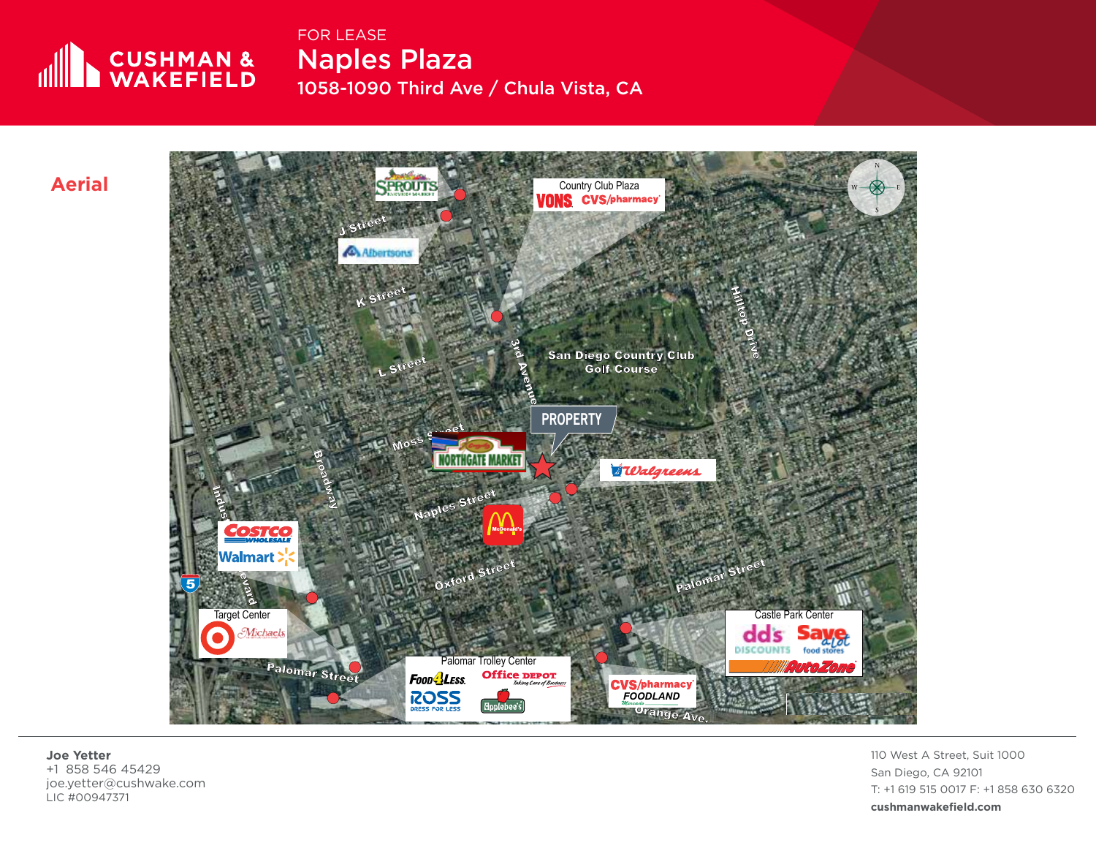

FOR LEASE

Naples Plaza 1058-1090 Third Ave / Chula Vista, CA

**Aerial**



**Joe Yetter** +1 858 546 45429 joe.yetter@cushwake.com LIC #00947371

110 West A Street, Suit 1000 San Diego, CA 92101 T: +1 619 515 0017 F: +1 858 630 6320 **cushmanwakefield.com**